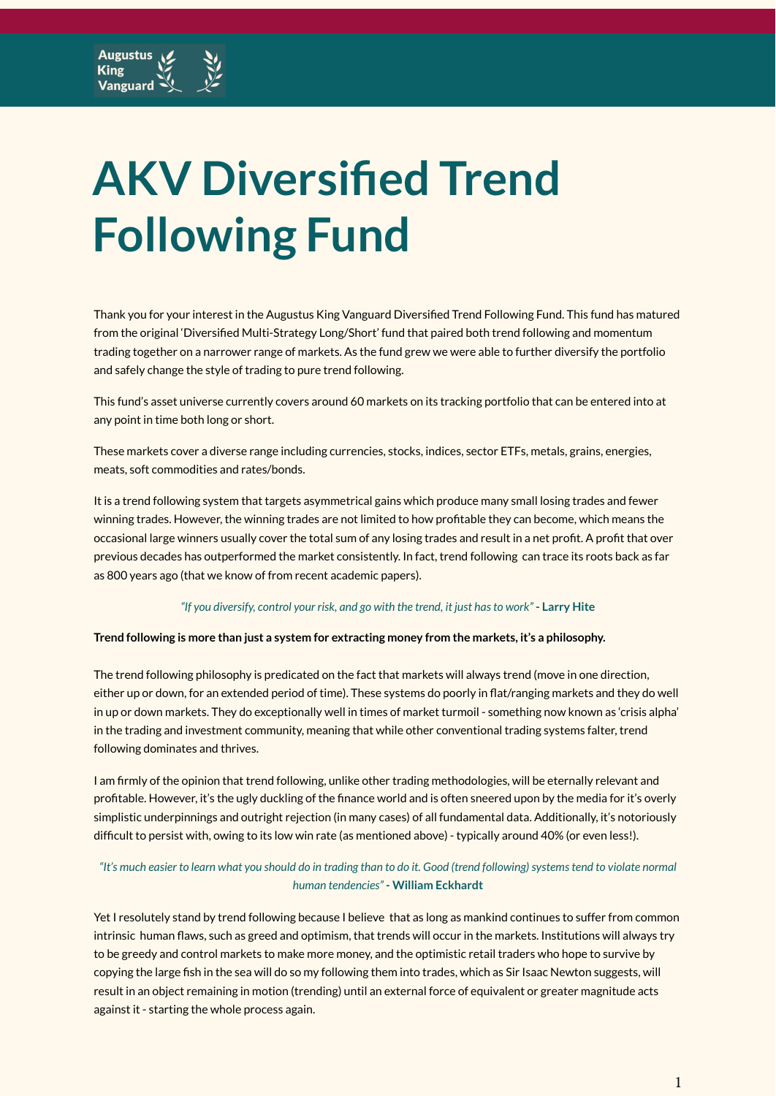# **AKV Diversified Trend Following Fund**

Thank you for your interest in the Augustus King Vanguard Diversified Trend Following Fund. This fund has matured from the original 'Diversified Multi-Strategy Long/Short' fund that paired both trend following and momentum trading together on a narrower range of markets. As the fund grew we were able to further diversify the portfolio and safely change the style of trading to pure trend following.

This fund's asset universe currently covers around 60 markets on its tracking portfolio that can be entered into at any point in time both long or short.

These markets cover a diverse range including currencies, stocks, indices, sector ETFs, metals, grains, energies, meats, soft commodities and rates/bonds.

It is a trend following system that targets asymmetrical gains which produce many small losing trades and fewer winning trades. However, the winning trades are not limited to how profitable they can become, which means the occasional large winners usually cover the total sum of any losing trades and result in a net profit. A profit that over previous decades has outperformed the market consistently. In fact, trend following can trace its roots back as far as 800 years ago (that we know of from recent academic papers).

#### *"If you diversify, control your risk, and go with the trend, it just hasto work"* **- Larry Hite**

#### **Trend following is more than just a system for extracting money from the markets, it's a philosophy.**

The trend following philosophy is predicated on the fact that markets will always trend (move in one direction, either up or down, for an extended period of time). These systems do poorly in flat/ranging markets and they do well in up or down markets. They do exceptionally well in times of market turmoil - something now known as 'crisis alpha' in the trading and investment community, meaning that while other conventional trading systems falter, trend following dominates and thrives.

I am firmly of the opinion that trend following, unlike other trading methodologies, will be eternally relevant and profitable. However, it's the ugly duckling of the finance world and is often sneered upon by the media for it's overly simplistic underpinnings and outright rejection (in many cases) of all fundamental data. Additionally, it's notoriously difficult to persist with, owing to its low win rate (as mentioned above) - typically around 40% (or even less!).

#### "It's much easier to learn what you should do in trading than to do it. Good (trend following) systems tend to violate normal *human tendencies"* **- William Eckhardt**

Yet I resolutely stand by trend following because I believe that as long as mankind continues to suffer from common intrinsic human flaws, such as greed and optimism, that trends will occur in the markets. Institutions will always try to be greedy and control markets to make more money, and the optimistic retail traders who hope to survive by copying the large fish in the sea will do so my following them into trades, which as Sir Isaac Newton suggests, will result in an object remaining in motion (trending) until an external force of equivalent or greater magnitude acts against it - starting the whole process again.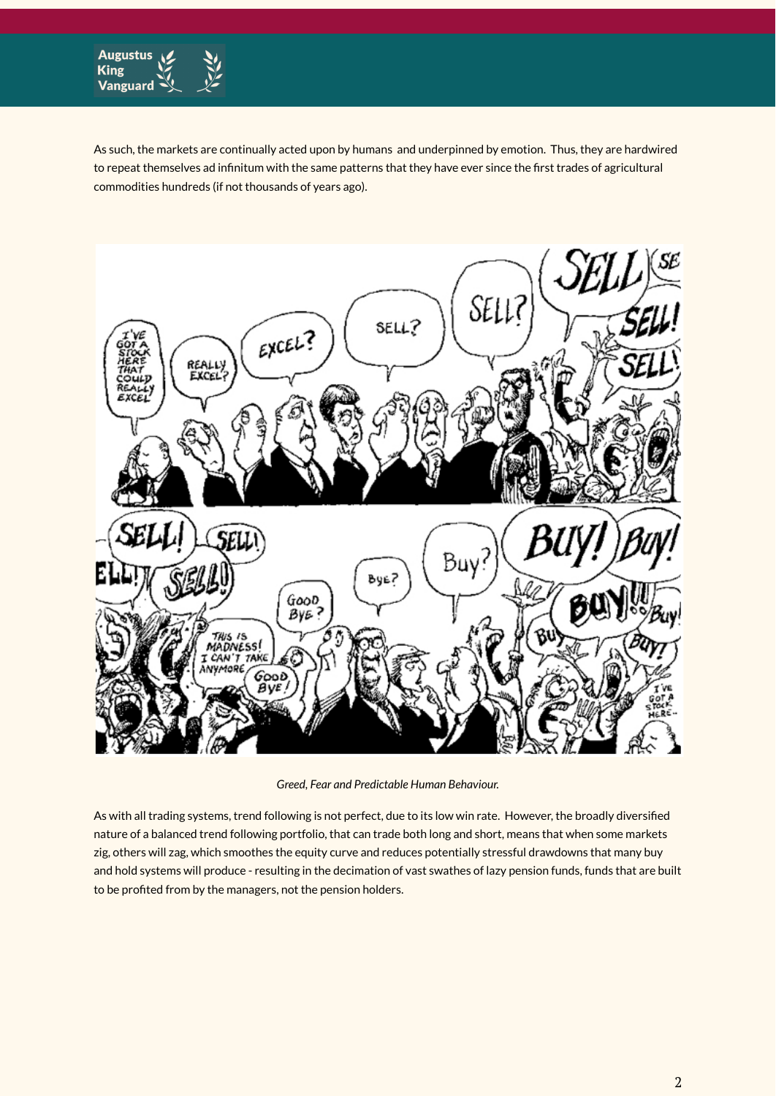

As such, the markets are continually acted upon by humans and underpinned by emotion. Thus, they are hardwired to repeat themselves ad infinitum with the same patterns that they have ever since the first trades of agricultural commodities hundreds (if not thousands of years ago).



*Greed, Fear and Predictable Human Behaviour.*

As with all trading systems, trend following is not perfect, due to its low win rate. However, the broadly diversified nature of a balanced trend following portfolio, that can trade both long and short, means that when some markets zig, others will zag, which smoothes the equity curve and reduces potentially stressful drawdowns that many buy and hold systems will produce - resulting in the decimation of vast swathes of lazy pension funds, funds that are built to be profited from by the managers, not the pension holders.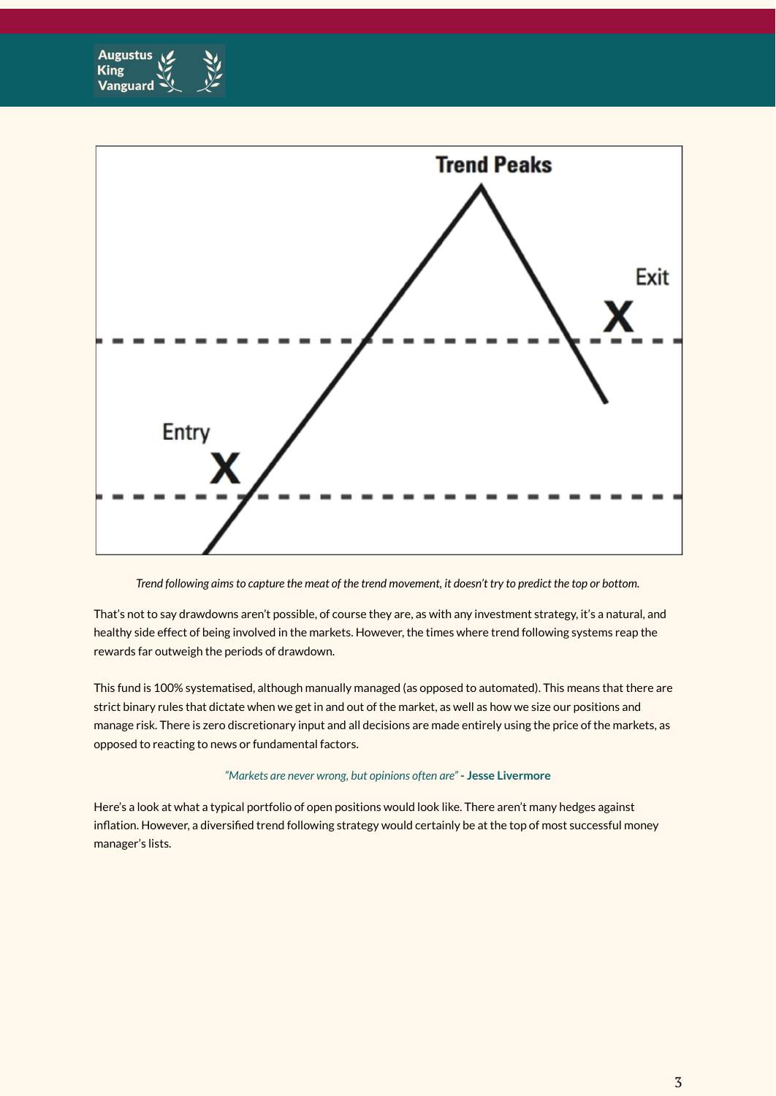



Trend following aims to capture the meat of the trend movement, it doesn't try to predict the top or bottom.

That's not to say drawdowns aren't possible, of course they are, as with any investment strategy, it's a natural, and healthy side effect of being involved in the markets. However, the times where trend following systems reap the rewards far outweigh the periods of drawdown.

This fund is 100% systematised, although manually managed (as opposed to automated). This means that there are strict binary rules that dictate when we get in and out of the market, as well as how we size our positions and manage risk. There is zero discretionary input and all decisions are made entirely using the price of the markets, as opposed to reacting to news or fundamental factors.

#### *"Markets are never wrong, but opinions often are"* **- Jesse Livermore**

Here's a look at what a typical portfolio of open positions would look like. There aren't many hedges against inflation. However, a diversified trend following strategy would certainly be at the top of most successful money manager's lists.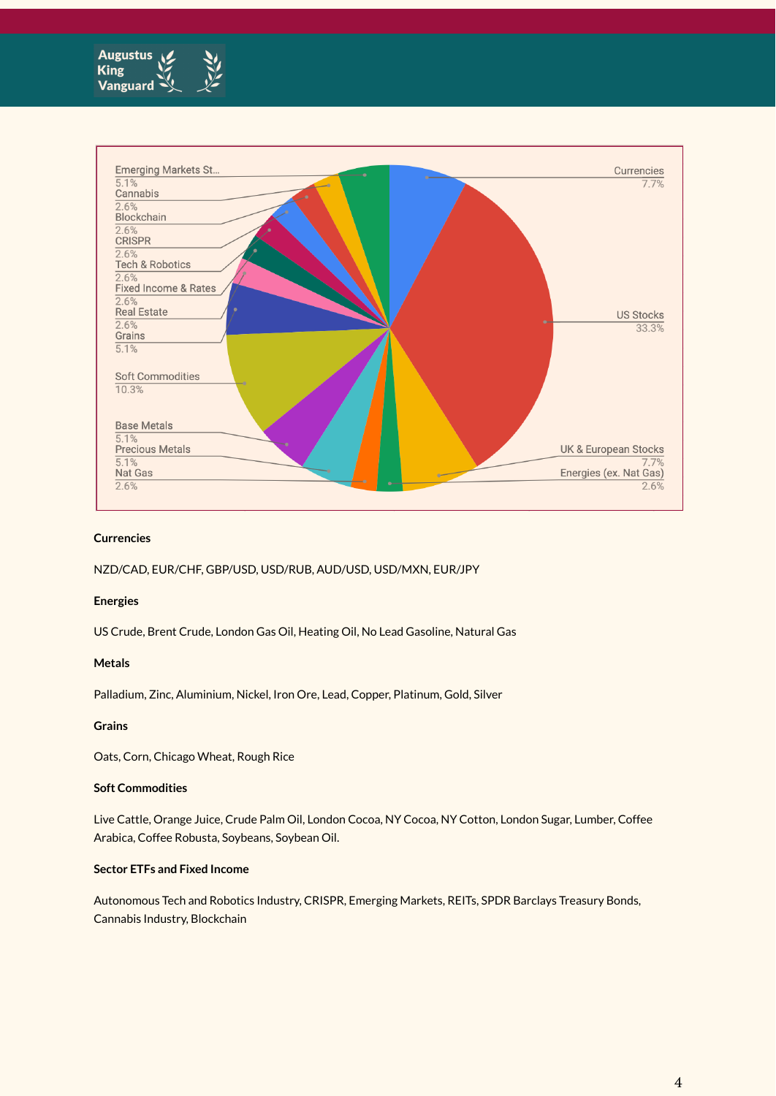



#### **Currencies**

NZD/CAD, EUR/CHF, GBP/USD, USD/RUB, AUD/USD, USD/MXN, EUR/JPY

#### **Energies**

US Crude, Brent Crude, London Gas Oil, Heating Oil, No Lead Gasoline, Natural Gas

#### **Metals**

Palladium, Zinc, Aluminium, Nickel, Iron Ore, Lead, Copper, Platinum, Gold, Silver

#### **Grains**

Oats, Corn, Chicago Wheat, Rough Rice

#### **Soft Commodities**

Live Cattle, Orange Juice, Crude Palm Oil, London Cocoa, NY Cocoa, NY Cotton, London Sugar, Lumber, Coffee Arabica, Coffee Robusta, Soybeans, Soybean Oil.

#### **Sector ETFs and Fixed Income**

Autonomous Tech and Robotics Industry, CRISPR, Emerging Markets, REITs, SPDR Barclays Treasury Bonds, Cannabis Industry, Blockchain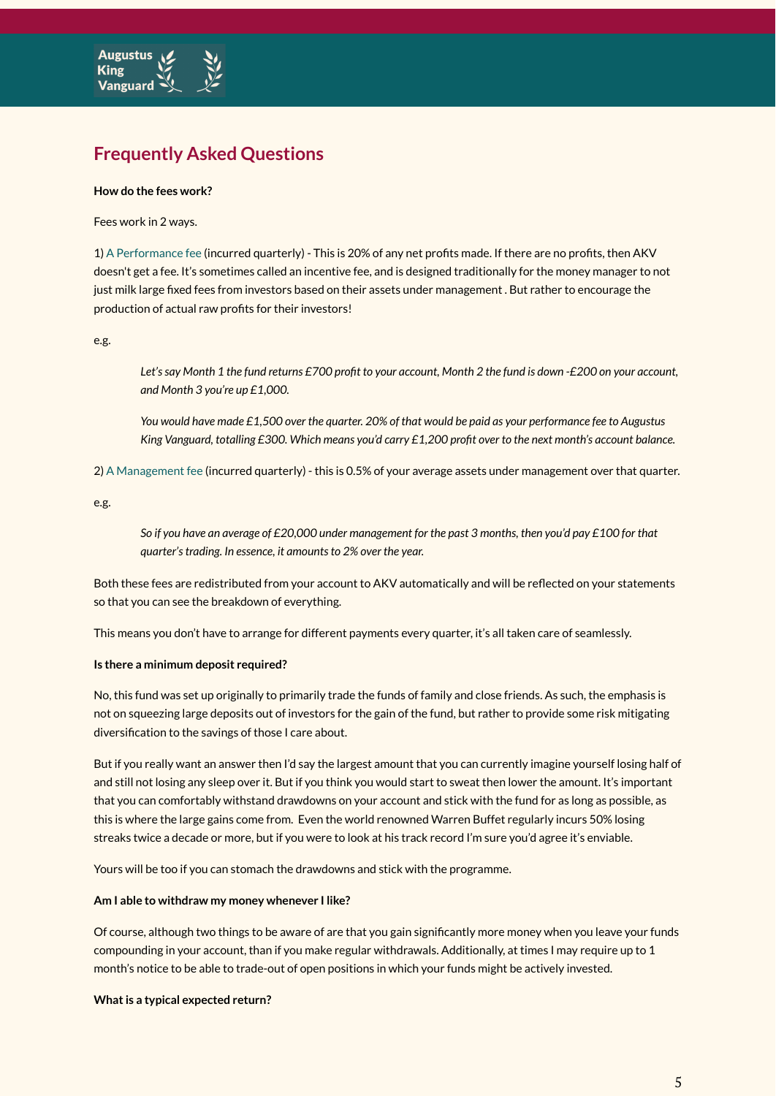

### **Frequently Asked Questions**

#### **How do the fees work?**

Fees work in 2 ways.

1) A Performance fee (incurred quarterly) - This is 20% of any net profits made. If there are no profits, then AKV doesn't get a fee. It's sometimes called an incentive fee, and is designed traditionally for the money manager to not just milk large fixed fees from investors based on their assets under management . But rather to encourage the production of actual raw profits for their investors!

e.g.

Let's say Month 1 the fund returns £700 profit to your account, Month 2 the fund is down -£200 on your account, *and Month 3 you're up £1,000.*

You would have made £1,500 over the quarter. 20% of that would be paid as your performance fee to Augustus King Vanguard, totalling £300. Which means you'd carry £1,200 profit over to the next month's account balance.

2) A Management fee (incurred quarterly) - this is 0.5% of your average assets under management over that quarter.

e.g.

So if you have an average of £20,000 under management for the past 3 months, then you'd pay £100 for that *quarter'strading. In essence, it amountsto 2% over the year.*

Both these fees are redistributed from your account to AKV automatically and will be reflected on your statements so that you can see the breakdown of everything.

This means you don't have to arrange for different payments every quarter, it's all taken care of seamlessly.

#### **Is there a minimum deposit required?**

No, this fund was set up originally to primarily trade the funds of family and close friends. As such, the emphasis is not on squeezing large deposits out of investors for the gain of the fund, but rather to provide some risk mitigating diversification to the savings of those I care about.

But if you really want an answer then I'd say the largest amount that you can currently imagine yourself losing half of and still not losing any sleep over it. But if you think you would start to sweat then lower the amount. It's important that you can comfortably withstand drawdowns on your account and stick with the fund for as long as possible, as this is where the large gains come from. Even the world renowned Warren Buffet regularly incurs 50% losing streaks twice a decade or more, but if you were to look at his track record I'm sure you'd agree it's enviable.

Yours will be too if you can stomach the drawdowns and stick with the programme.

#### **Am I able to withdraw my money whenever I like?**

Of course, although two things to be aware of are that you gain significantly more money when you leave your funds compounding in your account, than if you make regular withdrawals. Additionally, at times I may require up to 1 month's notice to be able to trade-out of open positions in which your funds might be actively invested.

#### **What is a typical expected return?**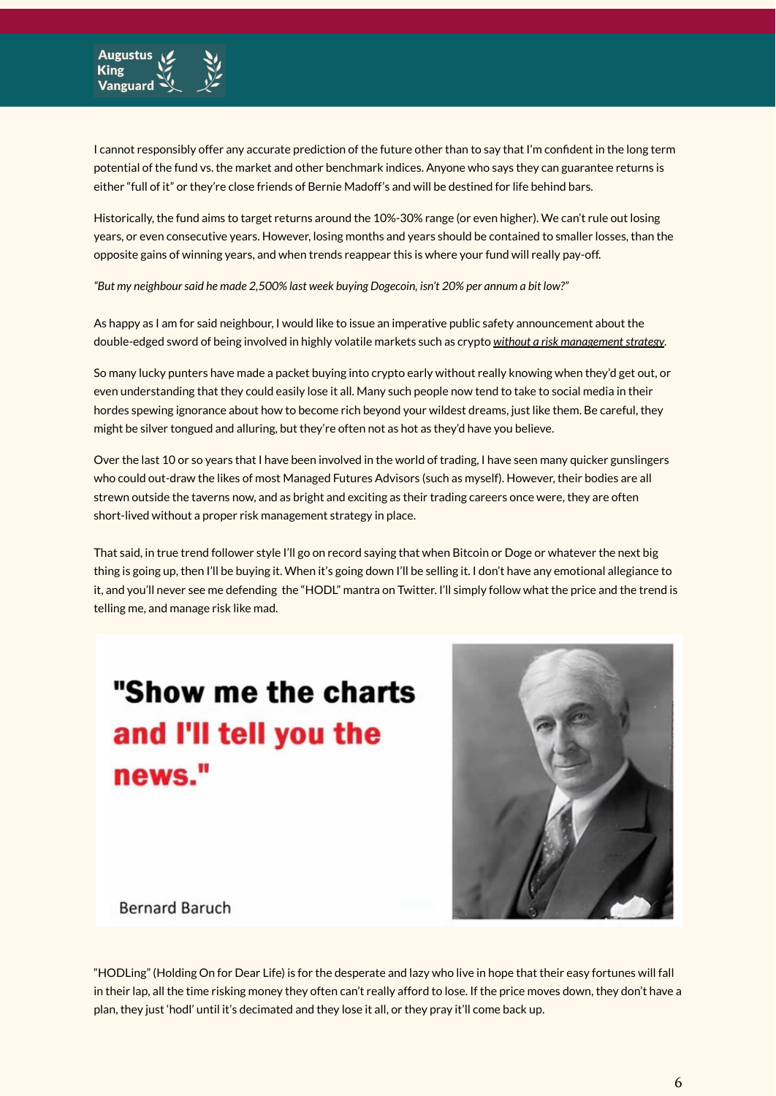

I cannot responsibly offer any accurate prediction of the future other than to say that I'm confident in the long term potential of the fund vs. the market and other benchmark indices. Anyone who says they can guarantee returns is either "full of it" or they're close friends of Bernie Madoff's and will be destined for life behind bars.

Historically, the fund aims to target returns around the 10%-30% range (or even higher). We can't rule out losing years, or even consecutive years. However, losing months and years should be contained to smaller losses, than the opposite gains of winning years, and when trends reappear this is where your fund will really pay-off.

*"But my neighboursaid he made 2,500% last week buying Dogecoin, isn't 20% per annum a bit low?"*

As happy as I am for said neighbour, I would like to issue an imperative public safety announcement about the double-edged sword of being involved in highly volatile markets such as crypto *without a risk managementstrategy.*

So many lucky punters have made a packet buying into crypto early without really knowing when they'd get out, or even understanding that they could easily lose it all. Many such people now tend to take to social media in their hordes spewing ignorance about how to become rich beyond your wildest dreams, just like them. Be careful, they might be silver tongued and alluring, but they're often not as hot as they'd have you believe.

Over the last 10 or so years that I have been involved in the world of trading, I have seen many quicker gunslingers who could out-draw the likes of most Managed Futures Advisors (such as myself). However, their bodies are all strewn outside the taverns now, and as bright and exciting as their trading careers once were, they are often short-lived without a proper risk management strategy in place.

That said, in true trend follower style I'll go on record saying that when Bitcoin or Doge or whatever the next big thing is going up, then I'll be buying it. When it's going down I'll be selling it. I don't have any emotional allegiance to it, and you'll never see me defending the "HODL" mantra on Twitter. I'll simply follow what the price and the trend is telling me, and manage risk like mad.

## "Show me the charts and I'll tell you the news."



**Bernard Baruch** 

"HODLing" (Holding On for Dear Life) is for the desperate and lazy who live in hope that their easy fortunes will fall in their lap, all the time risking money they often can't really afford to lose. If the price moves down, they don't have a plan, they just 'hodl' until it's decimated and they lose it all, or they pray it'll come back up.